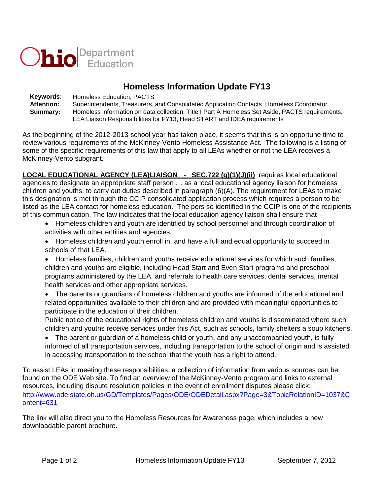

# **Homeless Information Update FY13**

**Keywords:** Homeless Education, PACTS **Attention:** Superintendents, Treasurers, and Consolidated Application Contacts, Homeless Coordinator **Summary:** Homeless information on data collection, Title I Part A Homeless Set Aside, PACTS requirements, LEA Liaison Responsibilities for FY13, Head START and IDEA requirements

As the beginning of the 2012-2013 school year has taken place, it seems that this is an opportune time to review various requirements of the McKinney-Vento Homeless Assistance Act. The following is a listing of some of the specific requirements of this law that apply to all LEAs whether or not the LEA receives a McKinney-Vento subgrant.

**LOCAL EDUCATIONAL AGENCY (LEA)LIAISON - SEC.722 (g)(1)(J)(ii)** requires local educational agencies to designate an appropriate staff person … as a local educational agency liaison for homeless children and youths, to carry out duties described in paragraph (6)(A). The requirement for LEAs to make this designation is met through the CCIP consolidated application process which requires a person to be listed as the LEA contact for homeless education. The pers so identified in the CCIP is one of the recipients of this communication. The law indicates that the local education agency liaison shall ensure that –

- Homeless children and youth are identified by school personnel and through coordination of activities with other entities and agencies.
- Homeless children and youth enroll in, and have a full and equal opportunity to succeed in schools of that LEA.
- Homeless families, children and youths receive educational services for which such families, children and youths are eligible, including Head Start and Even Start programs and preschool programs administered by the LEA, and referrals to health care services, dental services, mental health services and other appropriate services.
- The parents or guardians of homeless children and youths are informed of the educational and related opportunities available to their children and are provided with meaningful opportunities to participate in the education of their children.

Public notice of the educational rights of homeless children and youths is disseminated where such children and youths receive services under this Act, such as schools, family shelters a soup kitchens.

 The parent or guardian of a homeless child or youth, and any unaccompanied youth, is fully informed of all transportation services, including transportation to the school of origin and is assisted in accessing transportation to the school that the youth has a right to attend.

To assist LEAs in meeting these responsibilities, a collection of information from various sources can be found on the ODE Web site. To find an overview of the McKinney-Vento program and links to external resources, including dispute resolution policies in the event of enrollment disputes please click: [http://www.ode.state.oh.us/GD/Templates/Pages/ODE/ODEDetail.aspx?Page=3&TopicRelationID=1037&C](http://www.ode.state.oh.us/GD/Templates/Pages/ODE/ODEDetail.aspx?Page=3&TopicRelationID=1037&Content=6312) [ontent=631](http://www.ode.state.oh.us/GD/Templates/Pages/ODE/ODEDetail.aspx?Page=3&TopicRelationID=1037&Content=6312)

The link will also direct you to the Homeless Resources for Awareness page, which includes a new downloadable parent brochure.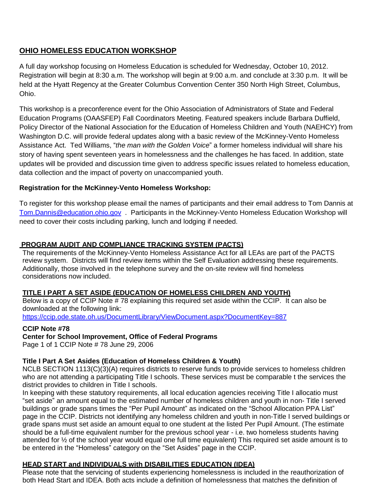# **OHIO HOMELESS EDUCATION WORKSHOP**

A full day workshop focusing on Homeless Education is scheduled for Wednesday, October 10, 2012. Registration will begin at 8:30 a.m. The workshop will begin at 9:00 a.m. and conclude at 3:30 p.m. It will be held at the Hyatt Regency at the Greater Columbus Convention Center 350 North High Street, Columbus, Ohio.

This workshop is a preconference event for the Ohio Association of Administrators of State and Federal Education Programs (OAASFEP) Fall Coordinators Meeting. Featured speakers include Barbara Duffield, Policy Director of the National Association for the Education of Homeless Children and Youth (NAEHCY) from Washington D.C. will provide federal updates along with a basic review of the McKinney-Vento Homeless Assistance Act. Ted Williams, "*the man with the Golden Voice*" a former homeless individual will share his story of having spent seventeen years in homelessness and the challenges he has faced. In addition, state updates will be provided and discussion time given to address specific issues related to homeless education, data collection and the impact of poverty on unaccompanied youth.

### **Registration for the McKinney-Vento Homeless Workshop:**

To register for this workshop please email the names of participants and their email address to Tom Dannis at [Tom.Dannis@education.ohio.gov](mailto:Tom.Dannis@education.ohio.gov) . Participants in the McKinney-Vento Homeless Education Workshop will need to cover their costs including parking, lunch and lodging if needed.

### **PROGRAM AUDIT AND COMPLIANCE TRACKING SYSTEM (PACTS)**

The requirements of the McKinney-Vento Homeless Assistance Act for all LEAs are part of the PACTS review system. Districts will find review items within the Self Evaluation addressing these requirements. Additionally, those involved in the telephone survey and the on-site review will find homeless considerations now included.

#### **TITLE I PART A SET ASIDE (EDUCATION OF HOMELESS CHILDREN AND YOUTH)**

Below is a copy of CCIP Note # 78 explaining this required set aside within the CCIP. It can also be downloaded at the following link:

<https://ccip.ode.state.oh.us/DocumentLibrary/ViewDocument.aspx?DocumentKey=887>

#### **CCIP Note #78**

## **Center for School Improvement, Office of Federal Programs**

Page 1 of 1 CCIP Note # 78 June 29, 2006

## **Title I Part A Set Asides (Education of Homeless Children & Youth)**

NCLB SECTION 1113(C)(3)(A) requires districts to reserve funds to provide services to homeless children who are not attending a participating Title I schools. These services must be comparable t the services the district provides to children in Title I schools.

In keeping with these statutory requirements, all local education agencies receiving Title I allocatio must "set aside" an amount equal to the estimated number of homeless children and youth in non- Title I served buildings or grade spans times the "Per Pupil Amount" as indicated on the "School Allocation PPA List" page in the CCIP. Districts not identifying any homeless children and youth in non-Title I served buildings or grade spans must set aside an amount equal to one student at the listed Per Pupil Amount. (The estimate should be a full-time equivalent number for the previous school year - i.e. two homeless students having attended for ½ of the school year would equal one full time equivalent) This required set aside amount is to be entered in the "Homeless" category on the "Set Asides" page in the CCIP.

## **HEAD START and INDIVIDUALS with DISABILITIES EDUCATION (IDEA)**

Please note that the servicing of students experiencing homelessness is included in the reauthorization of both Head Start and IDEA. Both acts include a definition of homelessness that matches the definition of